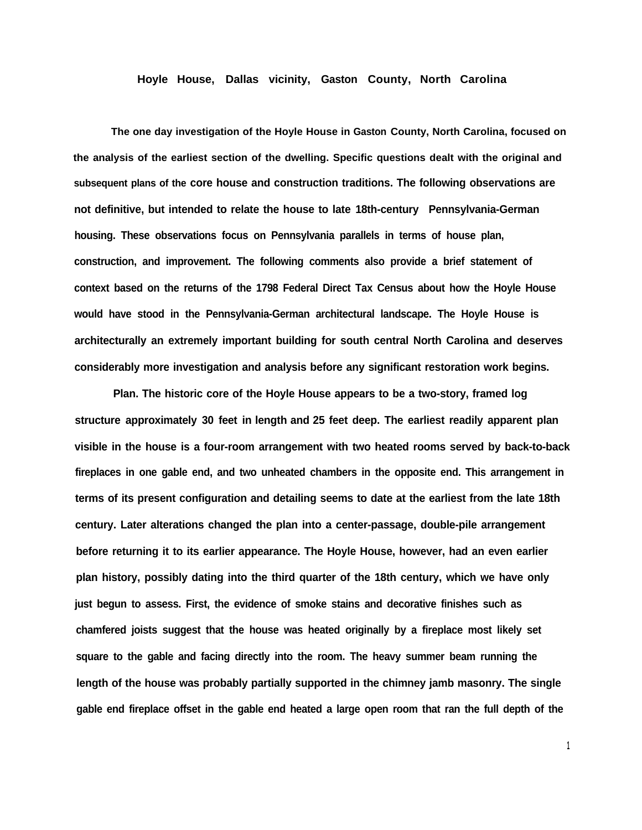## **Hoyle House, Dallas vicinity, Gaston County, North Carolina**

**The one day investigation of the Hoyle House in Gaston County, North Carolina, focused on the analysis of the earliest section of the dwelling. Specific questions dealt with the original and subsequent plans of the core house and construction traditions. The following observations are not definitive, but intended to relate the house to late 18th-century Pennsylvania-German housing. These observations focus on Pennsylvania parallels in terms of house plan, construction, and improvement. The following comments also provide a brief statement of context based on the returns of the 1798 Federal Direct Tax Census about how the Hoyle House would have stood in the Pennsylvania-German architectural landscape. The Hoyle House is architecturally an extremely important building for south central North Carolina and deserves considerably more investigation and analysis before any significant restoration work begins.**

**Plan. The historic core of the Hoyle House appears to be a two-story, framed log structure approximately 30 feet in length and 25 feet deep. The earliest readily apparent plan visible in the house is a four-room arrangement with two heated rooms served by back-to-back fireplaces in one gable end, and two unheated chambers in the opposite end. This arrangement in terms of its present configuration and detailing seems to date at the earliest from the late 18th century. Later alterations changed the plan into a center-passage, double-pile arrangement before returning it to its earlier appearance. The Hoyle House, however, had an even earlier plan history, possibly dating into the third quarter of the 18th century, which we have only just begun to assess. First, the evidence of smoke stains and decorative finishes such as chamfered joists suggest that the house was heated originally by a fireplace most likely set square to the gable and facing directly into the room. The heavy summer beam running the length of the house was probably partially supported in the chimney jamb masonry. The single gable end fireplace offset in the gable end heated a large open room that ran the full depth of the**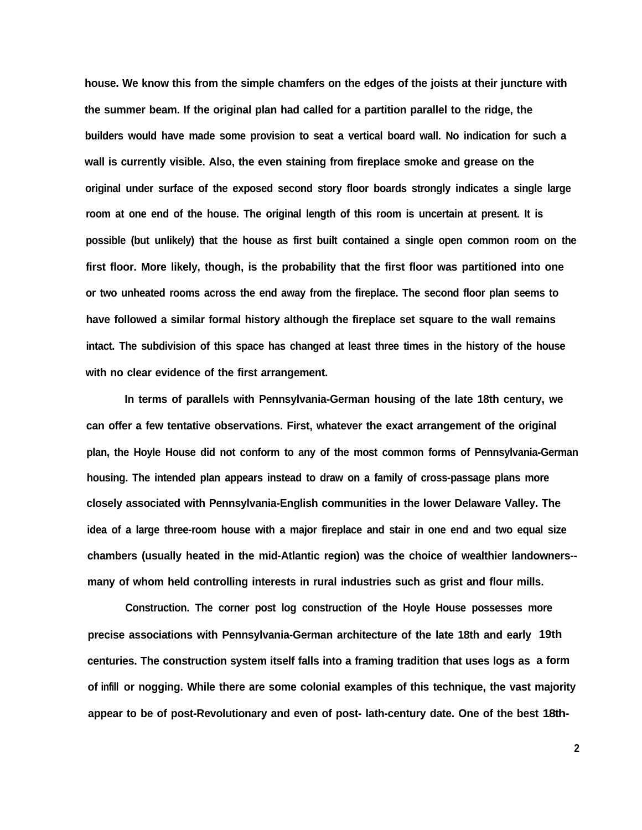**house. We know this from the simple chamfers on the edges of the joists at their juncture with the summer beam. If the original plan had called for a partition parallel to the ridge, the builders would have made some provision to seat a vertical board wall. No indication for such a wall is currently visible. Also, the even staining from fireplace smoke and grease on the original under surface of the exposed second story floor boards strongly indicates a single large room at one end of the house. The original length of this room is uncertain at present. It is possible (but unlikely) that the house as first built contained a single open common room on the first floor. More likely, though, is the probability that the first floor was partitioned into one or two unheated rooms across the end away from the fireplace. The second floor plan seems to have followed a similar formal history although the fireplace set square to the wall remains intact. The subdivision of this space has changed at least three times in the history of the house with no clear evidence of the first arrangement.**

**In terms of parallels with Pennsylvania-German housing of the late 18th century, we can offer a few tentative observations. First, whatever the exact arrangement of the original plan, the Hoyle House did not conform to any of the most common forms of Pennsylvania-German housing. The intended plan appears instead to draw on a family of cross-passage plans more closely associated with Pennsylvania-English communities in the lower Delaware Valley. The idea of a large three-room house with a major fireplace and stair in one end and two equal size chambers (usually heated in the mid-Atlantic region) was the choice of wealthier landowners- many of whom held controlling interests in rural industries such as grist and flour mills.**

**Construction. The corner post log construction of the Hoyle House possesses more precise associations with Pennsylvania-German architecture of the late 18th and early 19th centuries. The construction system itself falls into a framing tradition that uses logs as a form of infill or nogging. While there are some colonial examples of this technique, the vast majority appear to be of post-Revolutionary and even of post- lath-century date. One of the best 18th-**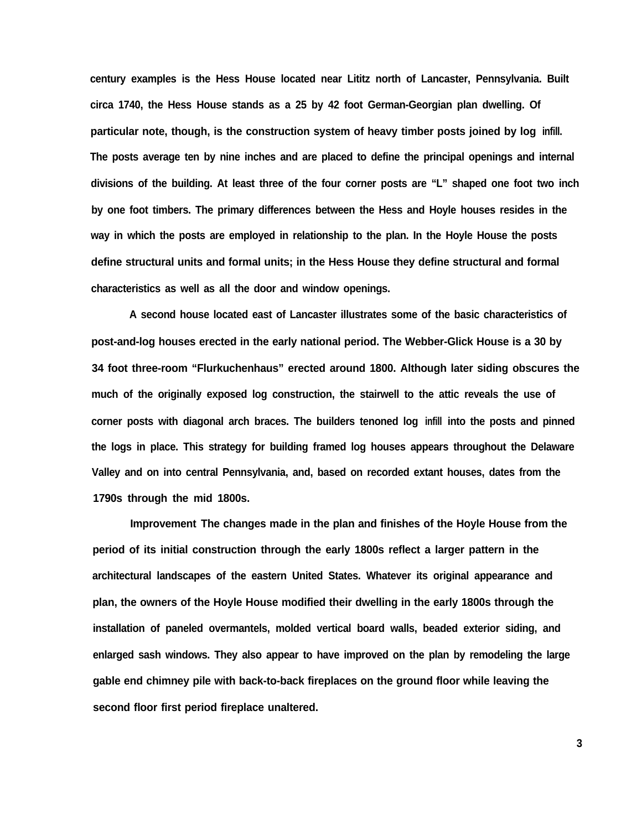**century examples is the Hess House located near Lititz north of Lancaster, Pennsylvania. Built circa 1740, the Hess House stands as a 25 by 42 foot German-Georgian plan dwelling. Of particular note, though, is the construction system of heavy timber posts joined by log infill. The posts average ten by nine inches and are placed to define the principal openings and internal divisions of the building. At least three of the four corner posts are "L" shaped one foot two inch by one foot timbers. The primary differences between the Hess and Hoyle houses resides in the way in which the posts are employed in relationship to the plan. In the Hoyle House the posts define structural units and formal units; in the Hess House they define structural and formal characteristics as well as all the door and window openings.**

**A second house located east of Lancaster illustrates some of the basic characteristics of post-and-log houses erected in the early national period. The Webber-Glick House is a 30 by 34 foot three-room "Flurkuchenhaus" erected around 1800. Although later siding obscures the much of the originally exposed log construction, the stairwell to the attic reveals the use of corner posts with diagonal arch braces. The builders tenoned log infill into the posts and pinned the logs in place. This strategy for building framed log houses appears throughout the Delaware Valley and on into central Pennsylvania, and, based on recorded extant houses, dates from the 1790s through the mid 1800s.**

**Improvement The changes made in the plan and finishes of the Hoyle House from the period of its initial construction through the early 1800s reflect a larger pattern in the architectural landscapes of the eastern United States. Whatever its original appearance and plan, the owners of the Hoyle House modified their dwelling in the early 1800s through the installation of paneled overmantels, molded vertical board walls, beaded exterior siding, and enlarged sash windows. They also appear to have improved on the plan by remodeling the large gable end chimney pile with back-to-back fireplaces on the ground floor while leaving the second floor first period fireplace unaltered.**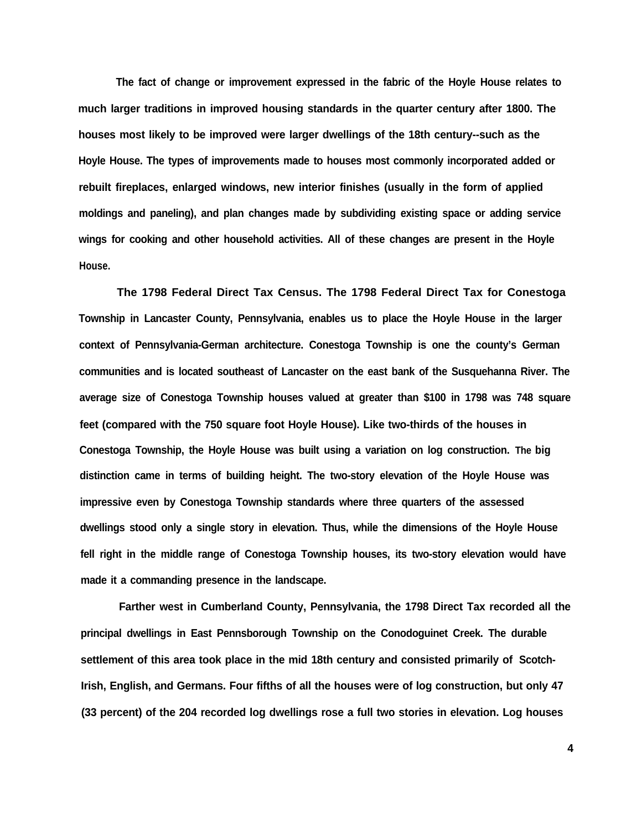**The fact of change or improvement expressed in the fabric of the Hoyle House relates to much larger traditions in improved housing standards in the quarter century after 1800. The houses most likely to be improved were larger dwellings of the 18th century--such as the Hoyle House. The types of improvements made to houses most commonly incorporated added or rebuilt fireplaces, enlarged windows, new interior finishes (usually in the form of applied moldings and paneling), and plan changes made by subdividing existing space or adding service wings for cooking and other household activities. All of these changes are present in the Hoyle House.**

**The 1798 Federal Direct Tax Census. The 1798 Federal Direct Tax for Conestoga Township in Lancaster County, Pennsylvania, enables us to place the Hoyle House in the larger context of Pennsylvania-German architecture. Conestoga Township is one the county's German communities and is located southeast of Lancaster on the east bank of the Susquehanna River. The average size of Conestoga Township houses valued at greater than \$100 in 1798 was 748 square feet (compared with the 750 square foot Hoyle House). Like two-thirds of the houses in Conestoga Township, the Hoyle House was built using a variation on log construction. The big distinction came in terms of building height. The two-story elevation of the Hoyle House was impressive even by Conestoga Township standards where three quarters of the assessed dwellings stood only a single story in elevation. Thus, while the dimensions of the Hoyle House fell right in the middle range of Conestoga Township houses, its two-story elevation would have made it a commanding presence in the landscape.**

**Farther west in Cumberland County, Pennsylvania, the 1798 Direct Tax recorded all the principal dwellings in East Pennsborough Township on the Conodoguinet Creek. The durable settlement of this area took place in the mid 18th century and consisted primarily of Scotch-Irish, English, and Germans. Four fifths of all the houses were of log construction, but only 47 (33 percent) of the 204 recorded log dwellings rose a full two stories in elevation. Log houses**